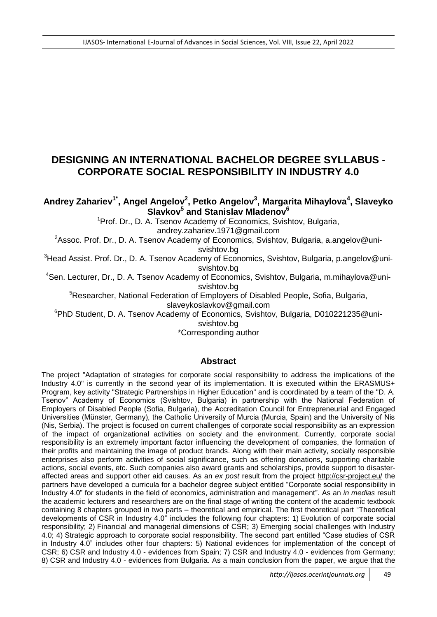# **DESIGNING AN INTERNATIONAL BACHELOR DEGREE SYLLABUS - CORPORATE SOCIAL RESPONSIBILITY IN INDUSTRY 4.0**

**Andrey Zahariev1\* , Angel Angelov<sup>2</sup> , Petko Angelov<sup>3</sup> , Margarita Mihaylova<sup>4</sup> , Slaveyko Slavkov<sup>5</sup> and Stanislav Mladenov<sup>6</sup>**

<sup>1</sup> Prof. Dr., D. A. Tsenov Academy of Economics, Svishtov, Bulgaria,

andrey.zahariev.1971@gmail.com

<sup>2</sup>Assoc. Prof. Dr., D. A. Tsenov Academy of Economics, Svishtov, Bulgaria, a.angelov@unisvishtov.bg

<sup>3</sup>Head Assist. Prof. Dr., D. A. Tsenov Academy of Economics, Svishtov, Bulgaria, p.angelov@unisvishtov.bg

<sup>4</sup>Sen. Lecturer, Dr., D. A. Tsenov Academy of Economics, Svishtov, Bulgaria, m.mihaylova@unisvishtov.bg

<sup>5</sup>Researcher, National Federation of Employers of Disabled People, Sofia, Bulgaria,

slaveykoslavkov@gmail.com

<sup>6</sup>PhD Student, D. A. Tsenov Academy of Economics, Svishtov, Bulgaria, D010221235@uni-

svishtov.bg

\*Corresponding author

### **Abstract**

The project "Adaptation of strategies for corporate social responsibility to address the implications of the Industry 4.0" is currently in the second year of its implementation. It is executed within the ERASMUS+ Program, key activity "Strategic Partnerships in Higher Education" and is coordinated by a team of the "D. A. Tsenov" Academy of Economics (Svishtov, Bulgaria) in partnership with the National Federation of Employers of Disabled People (Sofia, Bulgaria), the Accreditation Council for Entrepreneurial and Engaged Universities (Münster, Germany), the Catholic University of Murcia (Murcia, Spain) and the University of Nis (Nis, Serbia). The project is focused on current challenges of corporate social responsibility as an expression of the impact of organizational activities on society and the environment. Currently, corporate social responsibility is an extremely important factor influencing the development of companies, the formation of their profits and maintaining the image of product brands. Along with their main activity, socially responsible enterprises also perform activities of social significance, such as offering donations, supporting charitable actions, social events, etc. Such companies also award grants and scholarships, provide support to disasteraffected areas and support other aid causes. As an *ex post* result from the project<http://csr-project.eu/> the partners have developed a curricula for a bachelor degree subject entitled "Corporate social responsibility in Industry 4.0" for students in the field of economics, administration and management". As an *in medias* result the academic lecturers and researchers are on the final stage of writing the content of the academic textbook containing 8 chapters grouped in two parts – theoretical and empirical. The first theoretical part "Theoretical developments of CSR in Industry 4.0" includes the following four chapters: 1) Evolution of corporate social responsibility; 2) Financial and managerial dimensions of CSR; 3) Emerging social challenges with Industry 4.0; 4) Strategic approach to corporate social responsibility. The second part entitled "Case studies of CSR in Industry 4.0" includes other four chapters: 5) National evidences for implementation of the concept of CSR; 6) CSR and Industry 4.0 - evidences from Spain; 7) CSR and Industry 4.0 - evidences from Germany; 8) CSR and Industry 4.0 - evidences from Bulgaria. As a main conclusion from the paper, we argue that the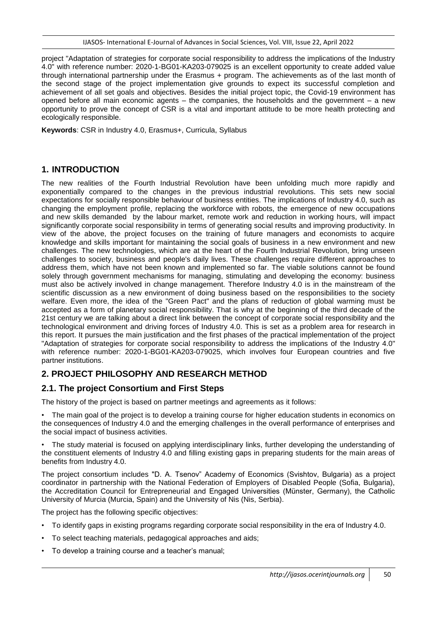project "Adaptation of strategies for corporate social responsibility to address the implications of the Industry 4.0" with reference number: 2020-1-BG01-KA203-079025 is an excellent opportunity to create added value through international partnership under the Erasmus + program. The achievements as of the last month of the second stage of the project implementation give grounds to expect its successful completion and achievement of all set goals and objectives. Besides the initial project topic, the Covid-19 environment has opened before all main economic agents – the companies, the households and the government – a new opportunity to prove the concept of CSR is a vital and important attitude to be more health protecting and ecologically responsible.

**Keywords**: CSR in Industry 4.0, Erasmus+, Curricula, Syllabus

# **1. INTRODUCTION**

The new realities of the Fourth Industrial Revolution have been unfolding much more rapidly and exponentially compared to the changes in the previous industrial revolutions. This sets new social expectations for socially responsible behaviour of business entities. The implications of Industry 4.0, such as changing the employment profile, replacing the workforce with robots, the emergence of new occupations and new skills demanded by the labour market, remote work and reduction in working hours, will impact significantly corporate social responsibility in terms of generating social results and improving productivity. In view of the above, the project focuses on the training of future managers and economists to acquire knowledge and skills important for maintaining the social goals of business in a new environment and new challenges. The new technologies, which are at the heart of the Fourth Industrial Revolution, bring unseen challenges to society, business and people's daily lives. These challenges require different approaches to address them, which have not been known and implemented so far. The viable solutions cannot be found solely through government mechanisms for managing, stimulating and developing the economy: business must also be actively involved in change management. Therefore Industry 4.0 is in the mainstream of the scientific discussion as a new environment of doing business based on the responsibilities to the society welfare. Even more, the idea of the "Green Pact" and the plans of reduction of global warming must be accepted as a form of planetary social responsibility. That is why at the beginning of the third decade of the 21st century we are talking about a direct link between the concept of corporate social responsibility and the technological environment and driving forces of Industry 4.0. This is set as a problem area for research in this report. It pursues the main justification and the first phases of the practical implementation of the project "Adaptation of strategies for corporate social responsibility to address the implications of the Industry 4.0" with reference number: 2020-1-BG01-KA203-079025, which involves four European countries and five partner institutions.

# **2. PROJECT PHILOSOPHY AND RESEARCH METHOD**

# **2.1. The project Consortium and First Steps**

The history of the project is based on partner meetings and agreements as it follows:

• The main goal of the project is to develop a training course for higher education students in economics on the consequences of Industry 4.0 and the emerging challenges in the overall performance of enterprises and the social impact of business activities.

• The study material is focused on applying interdisciplinary links, further developing the understanding of the constituent elements of Industry 4.0 and filling existing gaps in preparing students for the main areas of benefits from Industry 4.0.

The project consortium includes "D. A. Tsenov" Academy of Economics (Svishtov, Bulgaria) as a project coordinator in partnership with the National Federation of Employers of Disabled People (Sofia, Bulgaria), the Accreditation Council for Entrepreneurial and Engaged Universities (Münster, Germany), the Catholic University of Murcia (Murcia, Spain) and the University of Nis (Nis, Serbia).

The project has the following specific objectives:

- To identify gaps in existing programs regarding corporate social responsibility in the era of Industry 4.0.
- To select teaching materials, pedagogical approaches and aids;
- To develop a training course and a teacher's manual;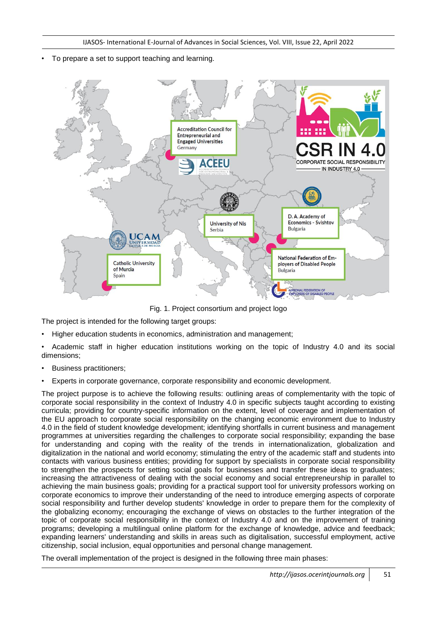• To prepare a set to support teaching and learning.



Fig. 1. Project consortium and project logo

The project is intended for the following target groups:

• Higher education students in economics, administration and management;

• Academic staff in higher education institutions working on the topic of Industry 4.0 and its social dimensions;

- Business practitioners:
- Experts in corporate governance, corporate responsibility and economic development.

The project purpose is to achieve the following results: outlining areas of complementarity with the topic of corporate social responsibility in the context of Industry 4.0 in specific subjects taught according to existing curricula; providing for country-specific information on the extent, level of coverage and implementation of the EU approach to corporate social responsibility on the changing economic environment due to Industry 4.0 in the field of student knowledge development; identifying shortfalls in current business and management programmes at universities regarding the challenges to corporate social responsibility; expanding the base for understanding and coping with the reality of the trends in internationalization, globalization and digitalization in the national and world economy; stimulating the entry of the academic staff and students into contacts with various business entities; providing for support by specialists in corporate social responsibility to strengthen the prospects for setting social goals for businesses and transfer these ideas to graduates; increasing the attractiveness of dealing with the social economy and social entrepreneurship in parallel to achieving the main business goals; providing for a practical support tool for university professors working on corporate economics to improve their understanding of the need to introduce emerging aspects of corporate social responsibility and further develop students' knowledge in order to prepare them for the complexity of the globalizing economy; encouraging the exchange of views on obstacles to the further integration of the topic of corporate social responsibility in the context of Industry 4.0 and on the improvement of training programs; developing a multilingual online platform for the exchange of knowledge, advice and feedback; expanding learners' understanding and skills in areas such as digitalisation, successful employment, active citizenship, social inclusion, equal opportunities and personal change management.

The overall implementation of the project is designed in the following three main phases: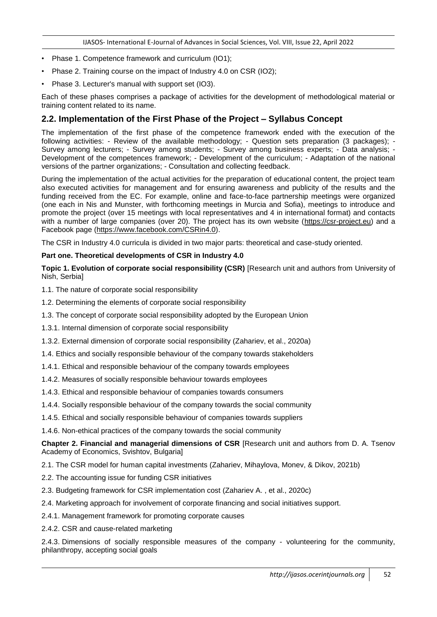- Phase 1. Competence framework and curriculum (IO1);
- Phase 2. Training course on the impact of Industry 4.0 on CSR (IO2);
- Phase 3. Lecturer's manual with support set (IO3).

Each of these phases comprises a package of activities for the development of methodological material or training content related to its name.

### **2.2. Implementation of the First Phase of the Project – Syllabus Concept**

The implementation of the first phase of the competence framework ended with the execution of the following activities: - Review of the available methodology; - Question sets preparation (3 packages); - Survey among lecturers; - Survey among students; - Survey among business experts; - Data analysis; - Development of the competences framework; - Development of the curriculum; - Adaptation of the national versions of the partner organizations; - Consultation and collecting feedback.

During the implementation of the actual activities for the preparation of educational content, the project team also executed activities for management and for ensuring awareness and publicity of the results and the funding received from the EC. For example, online and face-to-face partnership meetings were organized (one each in Nis and Munster, with forthcoming meetings in Murcia and Sofia), meetings to introduce and promote the project (over 15 meetings with local representatives and 4 in international format) and contacts with a number of large companies (over 20). The project has its own website [\(https://csr-project.eu\)](https://csr-project.eu/) and a Facebook page [\(https://www.facebook.com/CSRin4.0\)](https://www.facebook.com/CSRin4.0).

The CSR in Industry 4.0 curricula is divided in two major parts: theoretical and case-study oriented.

#### **Part one. Theoretical developments of CSR in Industry 4.0**

**Topic 1. Evolution of corporate social responsibility (CSR)** [Research unit and authors from University of Nish, Serbia]

- 1.1. The nature of corporate social responsibility
- 1.2. Determining the elements of corporate social responsibility
- 1.3. The concept of corporate social responsibility adopted by the European Union
- 1.3.1. Internal dimension of corporate social responsibility
- 1.3.2. External dimension of corporate social responsibility (Zahariev, et al., 2020a)
- 1.4. Ethics and socially responsible behaviour of the company towards stakeholders
- 1.4.1. Ethical and responsible behaviour of the company towards employees
- 1.4.2. Measures of socially responsible behaviour towards employees
- 1.4.3. Ethical and responsible behaviour of companies towards consumers
- 1.4.4. Socially responsible behaviour of the company towards the social community
- 1.4.5. Ethical and socially responsible behaviour of companies towards suppliers
- 1.4.6. Non-ethical practices of the company towards the social community

**Chapter 2. Financial and managerial dimensions of CSR** [Research unit and authors from D. A. Tsenov Academy of Economics, Svishtov, Bulgaria]

2.1. The CSR model for human capital investments (Zahariev, Mihaylova, Monev, & Dikov, 2021b)

- 2.2. The accounting issue for funding CSR initiatives
- 2.3. Budgeting framework for CSR implementation cost (Zahariev A. , et al., 2020c)
- 2.4. Marketing approach for involvement of corporate financing and social initiatives support.
- 2.4.1. Management framework for promoting corporate causes
- 2.4.2. CSR and cause-related marketing

2.4.3. Dimensions of socially responsible measures of the company - volunteering for the community, philanthropy, accepting social goals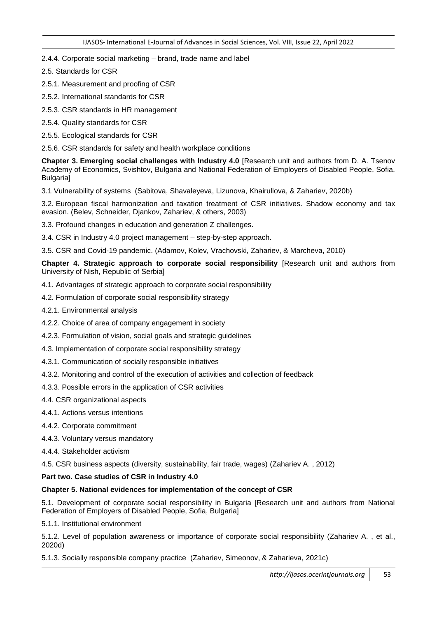#### 2.4.4. Corporate social marketing – brand, trade name and label

- 2.5. Standards for CSR
- 2.5.1. Measurement and proofing of CSR
- 2.5.2. International standards for CSR
- 2.5.3. CSR standards in HR management
- 2.5.4. Quality standards for CSR
- 2.5.5. Ecological standards for CSR
- 2.5.6. CSR standards for safety and health workplace conditions

**Chapter 3. Emerging social challenges with Industry 4.0** [Research unit and authors from D. A. Tsenov Academy of Economics, Svishtov, Bulgaria and National Federation of Employers of Disabled People, Sofia, Bulgaria]

3.1 Vulnerability of systems (Sabitova, Shavaleyeva, Lizunova, Khairullova, & Zahariev, 2020b)

3.2. European fiscal harmonization and taxation treatment of CSR initiatives. Shadow economy and tax evasion. (Belev, Schneider, Djankov, Zahariev, & others, 2003)

- 3.3. Profound changes in education and generation Z challenges.
- 3.4. CSR in Industry 4.0 project management step-by-step approach.

3.5. CSR and Covid-19 pandemic. (Adamov, Kolev, Vrachovski, Zahariev, & Marcheva, 2010)

**Chapter 4. Strategic approach to corporate social responsibility** [Research unit and authors from University of Nish, Republic of Serbia]

- 4.1. Advantages of strategic approach to corporate social responsibility
- 4.2. Formulation of corporate social responsibility strategy
- 4.2.1. Environmental analysis
- 4.2.2. Choice of area of company engagement in society
- 4.2.3. Formulation of vision, social goals and strategic guidelines
- 4.3. Implementation of corporate social responsibility strategy
- 4.3.1. Communication of socially responsible initiatives
- 4.3.2. Monitoring and control of the execution of activities and collection of feedback
- 4.3.3. Possible errors in the application of CSR activities
- 4.4. CSR organizational aspects
- 4.4.1. Actions versus intentions
- 4.4.2. Corporate commitment
- 4.4.3. Voluntary versus mandatory
- 4.4.4. Stakeholder activism

4.5. CSR business aspects (diversity, sustainability, fair trade, wages) (Zahariev A. , 2012)

#### **Part two. Case studies of CSR in Industry 4.0**

#### **Chapter 5. National evidences for implementation of the concept of CSR**

5.1. Development of corporate social responsibility in Bulgaria [Research unit and authors from National Federation of Employers of Disabled People, Sofia, Bulgaria]

5.1.1. Institutional environment

5.1.2. Level of population awareness or importance of corporate social responsibility (Zahariev A. , et al., 2020d)

5.1.3. Socially responsible company practice (Zahariev, Simeonov, & Zaharieva, 2021c)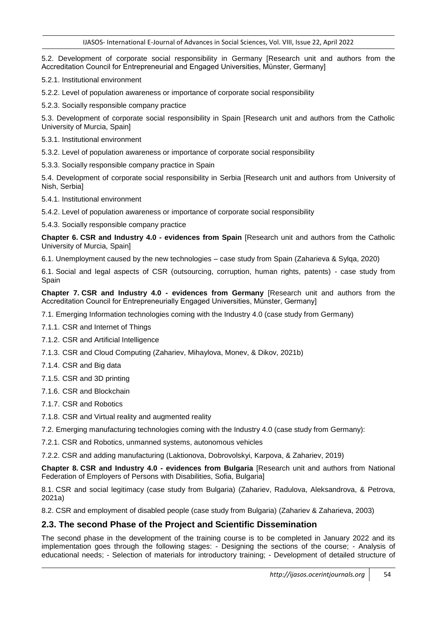5.2. Development of corporate social responsibility in Germany [Research unit and authors from the Accreditation Council for Entrepreneurial and Engaged Universities, Münster, Germany]

5.2.1. Institutional environment

5.2.2. Level of population awareness or importance of corporate social responsibility

5.2.3. Socially responsible company practice

5.3. Development of corporate social responsibility in Spain [Research unit and authors from the Catholic University of Murcia, Spain]

5.3.1. Institutional environment

5.3.2. Level of population awareness or importance of corporate social responsibility

5.3.3. Socially responsible company practice in Spain

5.4. Development of corporate social responsibility in Serbia [Research unit and authors from University of Nish, Serbia]

5.4.1. Institutional environment

5.4.2. Level of population awareness or importance of corporate social responsibility

5.4.3. Socially responsible company practice

**Chapter 6. CSR and Industry 4.0 - evidences from Spain** [Research unit and authors from the Catholic University of Murcia, Spain]

6.1. Unemployment caused by the new technologies – case study from Spain (Zaharieva & Sylqa, 2020)

6.1. Social and legal aspects of CSR (outsourcing, corruption, human rights, patents) - case study from Spain

**Chapter 7. CSR and Industry 4.0 - evidences from Germany** [Research unit and authors from the Accreditation Council for Entrepreneurially Engaged Universities, Münster, Germany]

7.1. Emerging Information technologies coming with the Industry 4.0 (case study from Germany)

7.1.1. CSR and Internet of Things

7.1.2. CSR and Artificial Intelligence

7.1.3. CSR and Cloud Computing (Zahariev, Mihaylova, Monev, & Dikov, 2021b)

7.1.4. CSR and Big data

7.1.5. CSR and 3D printing

7.1.6. CSR and Blockchain

7.1.7. CSR and Robotics

7.1.8. CSR and Virtual reality and augmented reality

7.2. Emerging manufacturing technologies coming with the Industry 4.0 (case study from Germany):

7.2.1. CSR and Robotics, unmanned systems, autonomous vehicles

7.2.2. CSR and adding manufacturing (Laktionova, Dobrovolskyi, Karpova, & Zahariev, 2019)

**Chapter 8. CSR and Industry 4.0 - evidences from Bulgaria** [Research unit and authors from National Federation of Employers of Persons with Disabilities, Sofia, Bulgaria]

8.1. CSR and social legitimacy (case study from Bulgaria) (Zahariev, Radulova, Aleksandrova, & Petrova, 2021a)

8.2. CSR and employment of disabled people (case study from Bulgaria) (Zahariev & Zaharieva, 2003)

### **2.3. The second Phase of the Project and Scientific Dissemination**

The second phase in the development of the training course is to be completed in January 2022 and its implementation goes through the following stages: - Designing the sections of the course; - Analysis of educational needs; - Selection of materials for introductory training; - Development of detailed structure of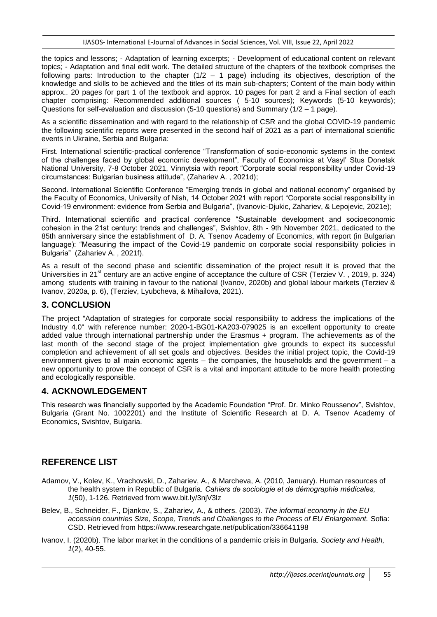the topics and lessons; - Adaptation of learning excerpts; - Development of educational content on relevant topics; - Adaptation and final edit work. The detailed structure of the chapters of the textbook comprises the following parts: Introduction to the chapter  $(1/2 - 1)$  page) including its objectives, description of the knowledge and skills to be achieved and the titles of its main sub-chapters; Content of the main body within approx.. 20 pages for part 1 of the textbook and approx. 10 pages for part 2 and a Final section of each chapter comprising: Recommended additional sources ( 5-10 sources); Keywords (5-10 keywords); Questions for self-evaluation and discussion (5-10 questions) and Summary ( $1/2 - 1$  page).

As a scientific dissemination and with regard to the relationship of CSR and the global COVID-19 pandemic the following scientific reports were presented in the second half of 2021 as a part of international scientific events in Ukraine, Serbia and Bulgaria:

First. International scientific-practical conference "Transformation of socio-economic systems in the context of the challenges faced by global economic development", Faculty of Economics at Vasyl' Stus Donetsk National University, 7-8 October 2021, Vinnytsia with report "Corporate social responsibility under Covid-19 circumstances: Bulgarian business attitude", (Zahariev A. , 2021d);

Second. International Scientific Conference "Emerging trends in global and national economy" organised by the Faculty of Economics, University of Nish, 14 October 2021 with report "Corporate social responsibility in Covid-19 environment: evidence from Serbia and Bulgaria", (Ivanovic-Djukic, Zahariev, & Lepojevic, 2021e);

Third. International scientific and practical conference "Sustainable development and socioeconomic cohesion in the 21st century: trends and challenges", Svishtov, 8th - 9th November 2021, dedicated to the 85th anniversary since the establishment of D. A. Tsenov Academy of Economics, with report (in Bulgarian language): "Measuring the impact of the Covid-19 pandemic on corporate social responsibility policies in Bulgaria" (Zahariev A. , 2021f).

As a result of the second phase and scientific dissemination of the project result it is proved that the Universities in 21<sup>st</sup> century are an active engine of acceptance the culture of CSR (Terziev V., 2019, p. 324) among students with training in favour to the national (Ivanov, 2020b) and global labour markets (Terziev & Ivanov, 2020a, p. 6), (Terziev, Lyubcheva, & Mihailova, 2021).

# **3. CONCLUSION**

The project "Adaptation of strategies for corporate social responsibility to address the implications of the Industry 4.0" with reference number: 2020-1-BG01-KA203-079025 is an excellent opportunity to create added value through international partnership under the Erasmus + program. The achievements as of the last month of the second stage of the project implementation give grounds to expect its successful completion and achievement of all set goals and objectives. Besides the initial project topic, the Covid-19 environment gives to all main economic agents – the companies, the households and the government – a new opportunity to prove the concept of CSR is a vital and important attitude to be more health protecting and ecologically responsible.

### **4. ACKNOWLEDGEMENT**

This research was financially supported by the Academic Foundation "Prof. Dr. Minko Roussenov", Svishtov, Bulgaria (Grant No. 1002201) and the Institute of Scientific Research at D. A. Tsenov Academy of Economics, Svishtov, Bulgaria.

#### **REFERENCE LIST**

- Adamov, V., Kolev, K., Vrachovski, D., Zahariev, A., & Marcheva, A. (2010, January). Human resources of the health system in Republic of Bulgaria. *Cahiers de sociologie et de démographie médicales, 1*(50), 1-126. Retrieved from www.bit.ly/3njV3lz
- Belev, B., Schneider, F., Djankov, S., Zahariev, A., & others. (2003). *The informal economy in the EU accession countries Size, Scope, Trends and Challenges to the Process of EU Enlargement.* Sofia: CSD. Retrieved from https://www.researchgate.net/publication/336641198
- Ivanov, I. (2020b). The labor market in the conditions of a pandemic crisis in Bulgaria. *Society and Health, 1*(2), 40-55.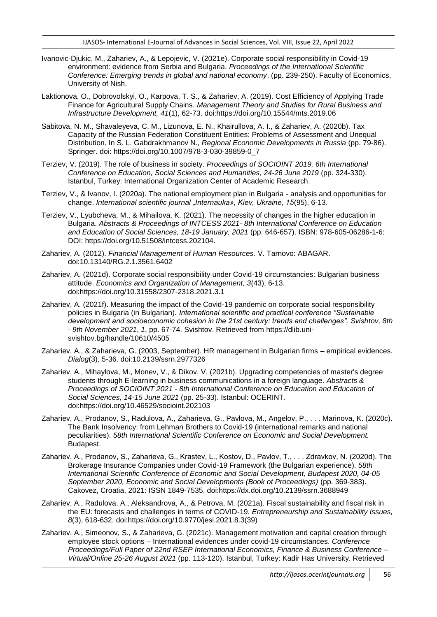- Ivanovic-Djukic, M., Zahariev, A., & Lepojevic, V. (2021e). Corporate social responsibility in Covid-19 environment: evidence from Serbia and Bulgaria. *Proceedings of the International Scientific Conference: Emerging trends in global and national economy*, (pp. 239-250). Faculty of Economics, University of Nish.
- Laktionova, O., Dobrovolskyi, O., Karpova, T. S., & Zahariev, A. (2019). Cost Efficiency of Applying Trade Finance for Agricultural Supply Chains. *Management Theory and Studies for Rural Business and Infrastructure Development, 41*(1), 62-73. doi:https://doi.org/10.15544/mts.2019.06
- Sabitova, N. M., Shavaleyeva, C. M., Lizunova, E. N., Khairullova, A. I., & Zahariev, A. (2020b). Tax Capacity of the Russian Federation Constituent Entities: Problems of Assessment and Unequal Distribution. In S. L. Gabdrakhmanov N., *Regional Economic Developments in Russia* (pp. 79-86). Springer. doi: https://doi.org/10.1007/978-3-030-39859-0\_7
- Terziev, V. (2019). The role of business in society. *Proceedings of SOCIOINT 2019, 6th International Conference on Education, Social Sciences and Humanities, 24-26 June 2019* (pp. 324-330). Istanbul, Turkey: International Organization Center of Academic Research.
- Terziev, V., & Ivanov, I. (2020a). The national employment plan in Bulgaria analysis and opportunities for change. *International scientific journal "Internauka», Kiev, Ukraine, 15*(95), 6-13.
- Terziev, V., Lyubcheva, M., & Mihailova, K. (2021). The necessity of changes in the higher education in Bulgaria. *Abstracts & Proceedings of INTCESS 2021- 8th International Conference on Education and Education of Social Sciences, 18-19 January, 2021* (pp. 646-657). ISBN: 978-605-06286-1-6: DOI: https://doi.org/10.51508/intcess.202104.
- Zahariev, A. (2012). *Financial Management of Human Resources.* V. Tarnovo: ABAGAR. doi:10.13140/RG.2.1.3561.6402
- Zahariev, A. (2021d). Corporate social responsibility under Covid-19 circumstancies: Bulgarian business attitude. *Economics and Organization of Management, 3*(43), 6-13. doi:https://doi.org/10.31558/2307-2318.2021.3.1
- Zahariev, A. (2021f). Measuring the impact of the Covid-19 pandemic on corporate social responsibility policies in Bulgaria (in Bulgarian). *International scientific and practical conference "Sustainable development and socioeconomic cohesion in the 21st century: trends and challenges", Svishtov, 8th - 9th November 2021*, *1*, pp. 67-74. Svishtov. Retrieved from https://dlib.unisvishtov.bg/handle/10610/4505
- Zahariev, A., & Zaharieva, G. (2003, September). HR management in Bulgarian firms empirical evidences. *Dialog*(3), 5-36. doi:10.2139/ssrn.2977326
- Zahariev, A., Mihaylova, M., Monev, V., & Dikov, V. (2021b). Upgrading competencies of master's degree students through E-learning in business communications in a foreign language. *Abstracts & Proceedings of SOCIOINT 2021 - 8th International Conference on Education and Education of Social Sciences, 14-15 June 2021* (pp. 25-33). Istanbul: OCERINT. doi:https://doi.org/10.46529/socioint.202103
- Zahariev, A., Prodanov, S., Radulova, A., Zaharieva, G., Pavlova, M., Angelov, P., . . . Marinova, K. (2020c). The Bank Insolvency: from Lehman Brothers to Covid-19 (international remarks and national peculiarities). *58th International Scientific Conference on Economic and Social Development.* Budapest.
- Zahariev, A., Prodanov, S., Zaharieva, G., Krastev, L., Kostov, D., Pavlov, T., . . . Zdravkov, N. (2020d). Тhe Brokerage Insurance Companies under Covid-19 Framework (the Bulgarian experience). *58th International Scientific Conference of Economic and Social Development, Budapest 2020, 04-05 September 2020, Economic and Social Developments (Book ot Proceedings)* (pp. 369-383). Cakovez, Croatia, 2021: ISSN 1849-7535. doi:https://dx.doi.org/10.2139/ssrn.3688949
- Zahariev, A., Radulova, A., Aleksandrova, A., & Petrova, M. (2021a). Fiscal sustainability and fiscal risk in the EU: forecasts and challenges in terms of COVID-19. *Entrepreneurship and Sustainability Issues, 8*(3), 618-632. doi:https://doi.org/10.9770/jesi.2021.8.3(39)
- Zahariev, A., Simeonov, S., & Zaharieva, G. (2021c). Management motivation and capital creation through employee stock options – International evidences under covid-19 circumstances. *Conference Proceedings/Full Paper of 22nd RSEP International Economics, Finance & Business Conference – Virtual/Online 25-26 August 2021* (pp. 113-120). Istanbul, Turkey: Kadir Has University. Retrieved